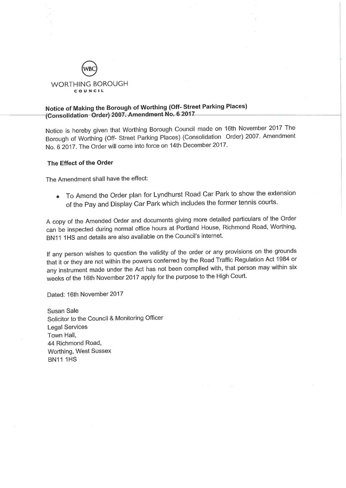

# Notice of Making the Borough of Worthing (Off- Street Parking Places) (Consolidation Order) 2007. Amendment No. 6 <sup>2017</sup>

Notice is hereby given that Worthing Borough Council made on 16th November 2017 The Borough of Worthing (Off- Street Parking Places) (Consolidation Order) 2007. Amendment No. 6 2017. The Order will come into force on 14th December 2017.

### The Effect of the Order

The Amendment shall have the effect:

• To Amend the Order plan for Lyndhurst Road Car Park to show the extension of the Pay and Display Car Park which includes the former tennis courts.

<sup>A</sup>copy of the Amended Order and documents giving more detailed particulars of the Order can be inspected during normal office hours at Portland House, Richmond Road, Worthing, BN11 1HS and details are also available on the Council's internet.

If any person wishes to question the validity of the order or any provisions on the grounds that it or they are not within the powers conferred by the Road Traffic Regulation Act 1984 or any instrument made under the Act has not been complied with, that person may within six weeks of the 16th November 2017 apply for the purpose to the High Court.

Dated: 16th November 2017

Susan Sale Solicitor to the Council & Monitoring Officer Legal Services Town Hall, 44 Richmond Road, Worthing, West Sussex BN11 1HS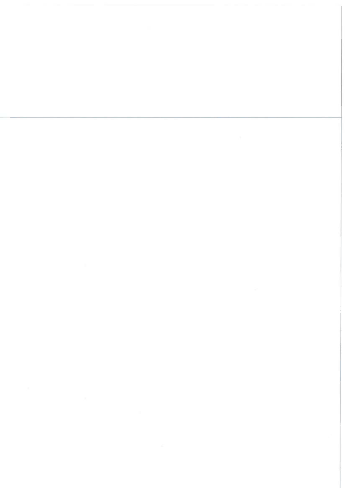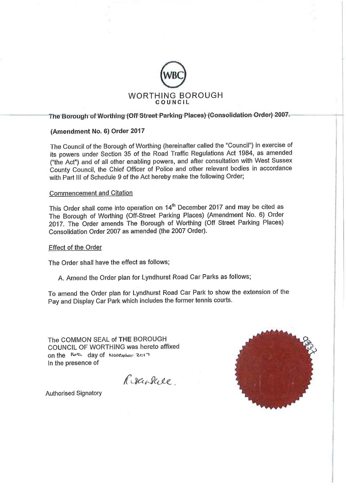

# The Borough of Worthing (Off Street Parking Places) (Consolidation Order) 2007.

## (Amendment No. 6) Order 2017

The Council of the Borough of Worthing (hereinafter called the "Council") in exercise of its powers under Section 35 of the Road Traffic Regulations Act 1984, as amended ("the Act") and of all other enabling powers, and after consultation with West Sussex County Council, the Chief Officer of Police and other relevant bodies in accordance with Part III of Schedule 9 of the Act hereby make the following Order;

### Commencement and Citafion

This Order shall come into operation on 14<sup>th</sup> December 2017 and may be cited as The Borough of Worthing (Off-Street Parking Places) (Amendment No. 6) Order 2017. The Order amends The Borough of Worthing (Off Street Parking Places) Consolidation Order 2007 as amended (the 2007 Order).

### Effect of the Order

The Order shall have the effect as follows;

A. Amend the Order plan for Lyndhurst Road Car Parks as follows;

To amend the Order plan for Lyndhurst Road Car Park to show the extension of the Pay and Display Car Park which includes the former tennis courts.

The COMMON SEAL of THE BOROUGH COUNCIL OF WORTHING was hereto affixed on the  $16t$  day of Norember  $2c$ . In the presence of

 $r$  . Surfull

Authorised Signatory